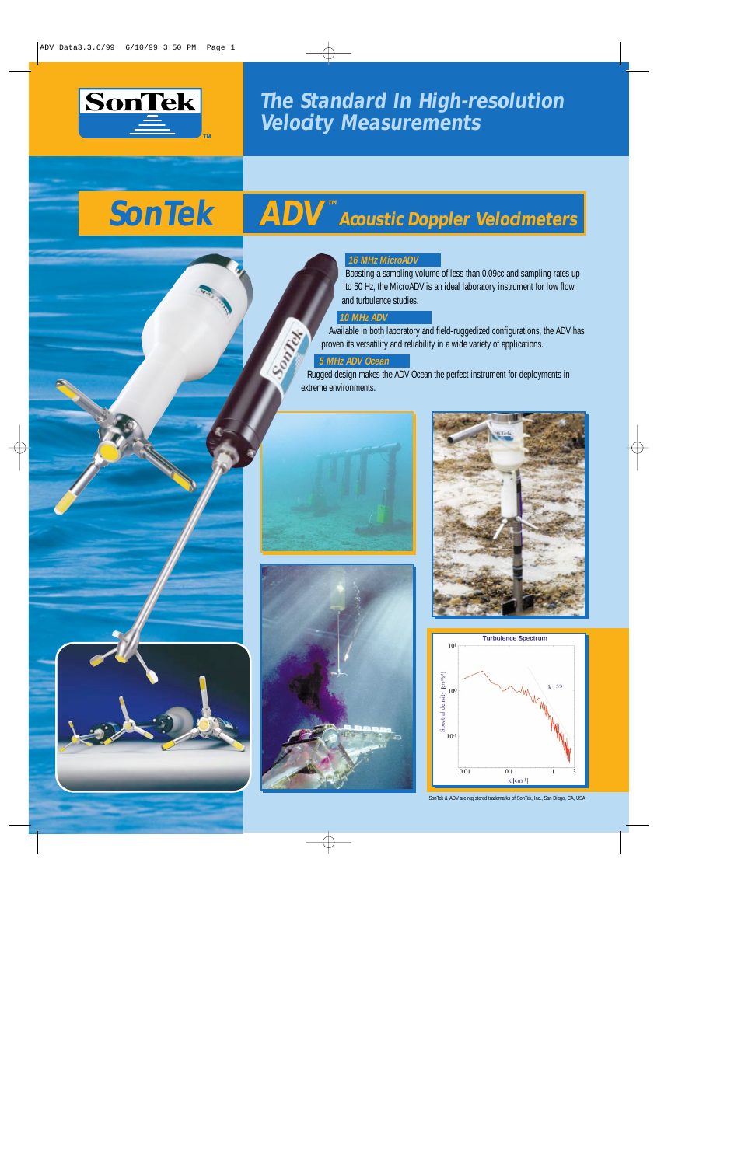

**The Standard In High-resolution Velocity Measurements**

# **SonTek ADV<sup>™</sup> Acoustic Doppler Velocimeters**

#### **16 MHz MicroADV**

Boasting a sampling volume of less than 0.09cc and sampling rates up to 50 Hz, the MicroADV is an ideal laboratory instrument for low flow and turbulence studies.

### **10 MHz ADV**

Available in both laboratory and field-ruggedized configurations, the ADV has proven its versatility and reliability in a wide variety of applications.

#### **5 MHz ADV Ocean**

Rugged design makes the ADV Ocean the perfect instrument for deployments in extreme environments.









SonTek & ADV are registered trademarks of SonTek, Inc., San Diego, CA, USA